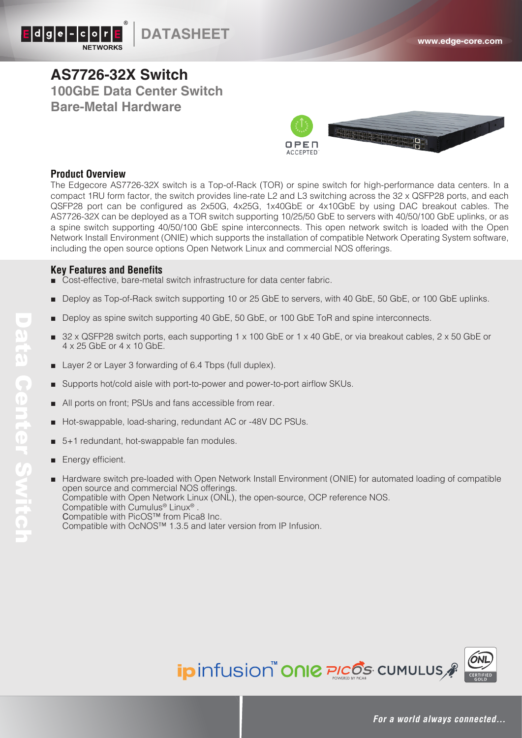

## **AS7726-32X Switch 100GbE Data Center Switch Bare-Metal Hardware**



### **Product Overview**

The Edgecore AS7726-32X switch is a Top-of-Rack (TOR) or spine switch for high-performance data centers. In a compact 1RU form factor, the switch provides line-rate L2 and L3 switching across the 32 x QSFP28 ports, and each QSFP28 port can be configured as 2x50G, 4x25G, 1x40GbE or 4x10GbE by using DAC breakout cables. The AS7726-32X can be deployed as a TOR switch supporting 10/25/50 GbE to servers with 40/50/100 GbE uplinks, or as a spine switch supporting 40/50/100 GbE spine interconnects. This open network switch is loaded with the Open Network Install Environment (ONIE) which supports the installation of compatible Network Operating System software, including the open source options Open Network Linux and commercial NOS offerings.

### **Key Features and Benefits**

- Cost-effective, bare-metal switch infrastructure for data center fabric.
- Deploy as Top-of-Rack switch supporting 10 or 25 GbE to servers, with 40 GbE, 50 GbE, or 100 GbE uplinks.
- Deploy as spine switch supporting 40 GbE, 50 GbE, or 100 GbE ToR and spine interconnects.
- $32 \times$  QSFP28 switch ports, each supporting 1 x 100 GbE or 1 x 40 GbE, or via breakout cables, 2 x 50 GbE or 4 x 25 GbE or 4 x 10 GbE.
- Layer 2 or Layer 3 forwarding of 6.4 Tbps (full duplex).
- Supports hot/cold aisle with port-to-power and power-to-port airflow SKUs.
- All ports on front; PSUs and fans accessible from rear.
- Hot-swappable, load-sharing, redundant AC or -48V DC PSUs.
- 5+1 redundant, hot-swappable fan modules.
- Energy efficient.
- Hardware switch pre-loaded with Open Network Install Environment (ONIE) for automated loading of compatible open source and commercial NOS offerings. Compatible with Open Network Linux (ONL), the open-source, OCP reference NOS. Compatible with Cumulus® Linux® . Compatible with PicOS™ from Pica8 Inc. Compatible with OcNOS™ 1.3.5 and later version from IP Infusion.

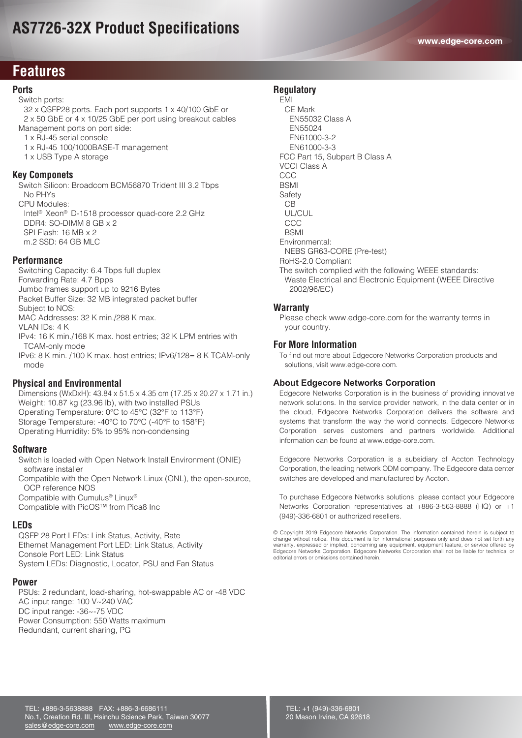# **AS7726-32X Product Specifications**

## **Features Features**

### **Ports**

Switch ports:

 32 x QSFP28 ports. Each port supports 1 x 40/100 GbE or 2 x 50 GbE or 4 x 10/25 GbE per port using breakout cables Management ports on port side:

1 x RJ-45 serial console

- 1 x RJ-45 100/1000BASE-T management
- 1 x USB Type A storage

#### **Key Componets**

 Switch Silicon: Broadcom BCM56870 Trident III 3.2 Tbps No PHYs CPU Modules:

 Intel® Xeon® D-1518 processor quad-core 2.2 GHz DDR4: SO-DIMM 8 GB x 2 SPI Flash: 16 MB x 2 m.2 SSD: 64 GB MLC

#### **Performance**

 Switching Capacity: 6.4 Tbps full duplex Forwarding Rate: 4.7 Bpps Jumbo frames support up to 9216 Bytes Packet Buffer Size: 32 MB integrated packet buffer Subject to NOS: MAC Addresses: 32 K min./288 K max. VLAN IDs: 4 K IPv4: 16 K min./168 K max. host entries; 32 K LPM entries with TCAM-only mode IPv6: 8 K min. /100 K max. host entries; IPv6/128= 8 K TCAM-only mode

#### **Physical and Environmental**

Dimensions (WxDxH): 43.84 x 51.5 x 4.35 cm (17.25 x 20.27 x 1.71 in.) Weight: 10.87 kg (23.96 lb), with two installed PSUs Operating Temperature: 0°C to 45°C (32°F to 113°F) Storage Temperature: -40°C to 70°C (-40°F to 158°F) Operating Humidity: 5% to 95% non-condensing

#### **Software**

 Switch is loaded with Open Network Install Environment (ONIE) software installer

 Compatible with the Open Network Linux (ONL), the open-source, OCP reference NOS Compatible with Cumulus® Linux®

Compatible with PicOS™ from Pica8 Inc

#### **LEDs**

 QSFP 28 Port LEDs: Link Status, Activity, Rate Ethernet Management Port LED: Link Status, Activity Console Port LED: Link Status System LEDs: Diagnostic, Locator, PSU and Fan Status

#### **Power**

 PSUs: 2 redundant, load-sharing, hot-swappable AC or -48 VDC AC input range: 100 V~240 VAC DC input range: -36~-75 VDC Power Consumption: 550 Watts maximum Redundant, current sharing, PG

#### **Regulatory**

 EMI CE Mark EN55032 Class A EN55024 EN61000-3-2 EN61000-3-3 FCC Part 15, Subpart B Class A VCCI Class A **CCC**  BSMI Safety CB UL/CUL **CCC BSMI**  Environmental: NEBS GR63-CORE (Pre-test) RoHS-2.0 Compliant The switch complied with the following WEEE standards: Waste Electrical and Electronic Equipment (WEEE Directive 2002/96/EC)

#### **Warranty**

 Please check www.edge-core.com for the warranty terms in your country.

#### **For More Information**

 To find out more about Edgecore Networks Corporation products and solutions, visit www.edge-core.com.

#### **About Edgecore Networks Corporation**

Edgecore Networks Corporation is in the business of providing innovative network solutions. In the service provider network, in the data center or in the cloud, Edgecore Networks Corporation delivers the software and systems that transform the way the world connects. Edgecore Networks Corporation serves customers and partners worldwide. Additional information can be found at www.edge-core.com.

Edgecore Networks Corporation is a subsidiary of Accton Technology Corporation, the leading network ODM company. The Edgecore data center switches are developed and manufactured by Accton.

To purchase Edgecore Networks solutions, please contact your Edgecore Networks Corporation representatives at +886-3-563-8888 (HQ) or +1 (949)-336-6801 or authorized resellers.

© Copyright 2019 Edgecore Networks Corporation. The information contained herein is subject to change without notice. This document is for informational purposes only and does not set forth any<br>warranty, expressed or implied, concerning any equipment, equipment feature, or service offered by<br>Edgecore Networks Corpor editorial errors or omissions contained herein.